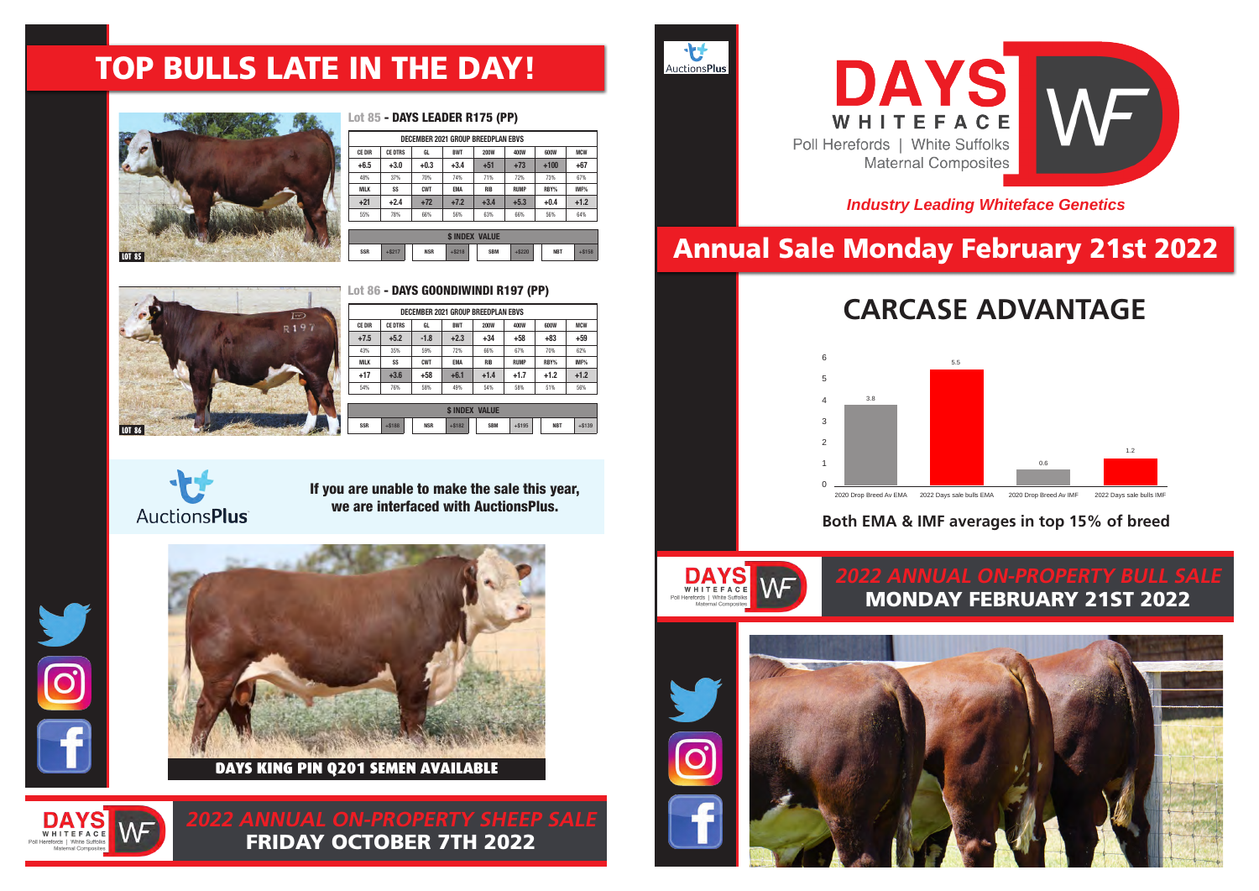## Annual Sale Monday February 21st 2022

## **Both EMA & IMF averages in top 15% of breed**

## **CARCASE ADVANTAGE**

## *Industry Leading Whiteface Genetics*

**2022 ANNUAL ON-PROPERTY SHEEP SALE** FRIDAY OCTOBER 7TH 2022

# MONDAY FEBRUARY 21ST 2022

 **100 Million SSR** +\$188 **NSR** +\$182 **SBM** +\$195 **NBT** +\$139

**SIRE: DAYS GENESIS N102 (AI) (PP)** 

**DAM: DAYS CORA P072 (AI) (PP)**











|            |          |            | <b>INDEX</b> | <b>VALUE</b> |             |            |           |
|------------|----------|------------|--------------|--------------|-------------|------------|-----------|
| <b>SSR</b> | $+$ S217 | <b>NSR</b> | $+$ \$218    | <b>SBM</b>   | <b>S220</b> | <b>NBT</b> | $-$ \$158 |

## TOP BULLS LATE IN THE DAY! HYALITE ON TARGET 936 (P) R LEADER 6964 (IMP USA) (PP) HYALITE ON TARGET 936 (P) R LEADER 6964 (IMP USA) (PP) R MISS REVOLUTION 1009 (P) **+6.5 +3.0 +0.3 +3.4 +51 +73 +100 +67** 48% 37% 70% 74% 71% 72% 73% 67% **MILK SS CWT EMA RIB RUMP RBY% IMF%** ALLENDALE / DAYS WHITEFACE 2022

PURCHASER:............................................................................................................................................. \$.............................................................

|               | DECEMBER 2021 GROUP BREEDPLAN EBVS |            |            |             |             |        |            |  |  |  |  |  |  |
|---------------|------------------------------------|------------|------------|-------------|-------------|--------|------------|--|--|--|--|--|--|
| <b>CE DIR</b> | <b>CE DTRS</b>                     | GL         | <b>BWT</b> | <b>200W</b> | <b>400W</b> | 600W   | <b>MCW</b> |  |  |  |  |  |  |
| $+6.5$        | $+3.0$                             | $+0.3$     | $+3.4$     | $+51$       | $+73$       | $+100$ | $+67$      |  |  |  |  |  |  |
| 48%           | 37%                                | 70%        | 74%        | 71%         | 72%         | 73%    | 67%        |  |  |  |  |  |  |
| <b>MILK</b>   | SS                                 | <b>CWT</b> | <b>EMA</b> | <b>RIB</b>  | <b>RUMP</b> | RBY%   | IMF%       |  |  |  |  |  |  |
| $+21$         | $+2.4$                             | $+72$      | $+7.2$     | $+3.4$      | $+5.3$      | $+0.4$ | $+1.2$     |  |  |  |  |  |  |
| 55%           | 78%                                | 66%        | 56%        | 63%         | 66%         | 56%    | 64%        |  |  |  |  |  |  |
|               |                                    |            |            |             |             |        |            |  |  |  |  |  |  |



### Lot 85 - DAYS LEADER R175 (PP) LUC 63 **– DAIS LEADER KT73 (PP)** very good data from a very good very good very good very good very good very g  $\mathbf{D}$  $\mathbf{D}$



DUNCED BAVE COO  $\mathsf{D}$ und una disabel una de  $\mathbf{M}$  and  $\mathbf{M}$ Lot 86 **- DAYS GOONDIWINDI R197 (PP)** 

**CE DIR CE DTRS GL BWT 200W 400W 600W MCW**

**+21 +2.4 +72 +7.2 +3.4 +5.3 +0.4 +1.2**

**NBT** +\$158

|               |                            |            | DECEMBER 2021 GROUP BREEDPLAN EBVS |             |             |  |            |            |  |  |  |  |  |
|---------------|----------------------------|------------|------------------------------------|-------------|-------------|--|------------|------------|--|--|--|--|--|
| <b>CE DIR</b> | <b>CE DTRS</b>             | GL         | <b>BWT</b>                         | <b>200W</b> | 400W        |  | 600W       | <b>MCW</b> |  |  |  |  |  |
| $+7.5$        | $+5.2$                     | $-1.8$     | $+2.3$                             | $+34$       | $+58$       |  | $+83$      | $+59$      |  |  |  |  |  |
| 43%           | 35%                        | 59%        | 72%                                | 66%         | 67%         |  | 70%        | 62%        |  |  |  |  |  |
| <b>MILK</b>   | SS                         | <b>CWT</b> | <b>EMA</b>                         | <b>RIB</b>  | <b>RUMP</b> |  | RBY%       | IMF%       |  |  |  |  |  |
| $+17$         | $+3.6$                     | $+58$      | $+6.1$                             | $+1.4$      | $+1.7$      |  | $+1.2$     | $+1.2$     |  |  |  |  |  |
| 54%           | 76%                        | 58%        | 49%                                | 54%         | 58%         |  | 51%        | 56%        |  |  |  |  |  |
|               |                            |            |                                    |             |             |  |            |            |  |  |  |  |  |
|               | <b><i>SINDEX VALUE</i></b> |            |                                    |             |             |  |            |            |  |  |  |  |  |
| <b>SSR</b>    | $+ $188$                   | <b>NSR</b> | $+ $182$                           | <b>SBM</b>  | $+ $195$    |  | <b>NBT</b> | $+ $139$   |  |  |  |  |  |

**CE DIR CE DIR CE DIR CE DIR CE DIR CE DIR CE DIR CE DIR CE DIR CE DIR CE DIR CE DIR CE DIR CE DIR CE DIR CE DI** 

**AuctionsPlus** 

If you are unable to make the sale this year, we are interfaced with AuctionsPlus. Smooth skinned, good him in the top 10% of the breed for all indexed for all indexed for all indexes.







REMITALL HOLLYWOOD 37H (IMP CAN) (P)



PURCHASER:............................................................................................................................................. \$.............................................................